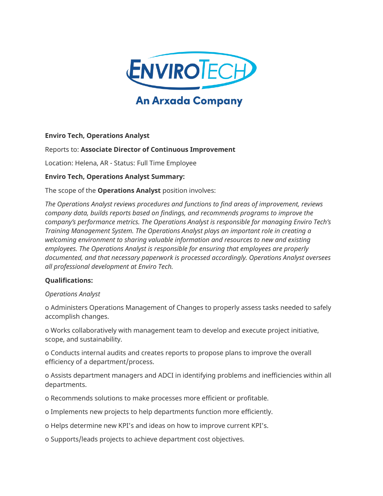

# **An Arxada Company**

## **Enviro Tech, Operations Analyst**

## Reports to: **Associate Director of Continuous Improvement**

Location: Helena, AR - Status: Full Time Employee

## **Enviro Tech, Operations Analyst Summary:**

The scope of the **Operations Analyst** position involves:

*The Operations Analyst reviews procedures and functions to find areas of improvement, reviews company data, builds reports based on findings, and recommends programs to improve the company's performance metrics. The Operations Analyst is responsible for managing Enviro Tech's Training Management System. The Operations Analyst plays an important role in creating a welcoming environment to sharing valuable information and resources to new and existing employees. The Operations Analyst is responsible for ensuring that employees are properly documented, and that necessary paperwork is processed accordingly. Operations Analyst oversees all professional development at Enviro Tech.*

## **Qualifications:**

*Operations Analyst*

o Administers Operations Management of Changes to properly assess tasks needed to safely accomplish changes.

o Works collaboratively with management team to develop and execute project initiative, scope, and sustainability.

o Conducts internal audits and creates reports to propose plans to improve the overall efficiency of a department/process.

o Assists department managers and ADCI in identifying problems and inefficiencies within all departments.

o Recommends solutions to make processes more efficient or profitable.

o Implements new projects to help departments function more efficiently.

o Helps determine new KPI's and ideas on how to improve current KPI's.

o Supports/leads projects to achieve department cost objectives.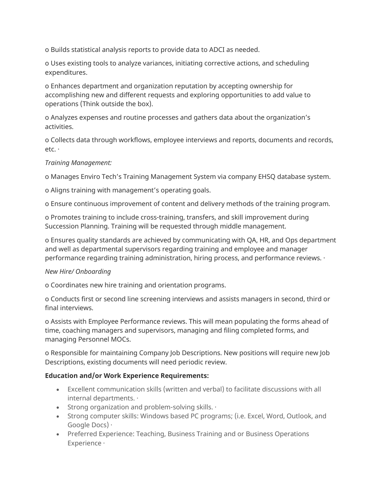o Builds statistical analysis reports to provide data to ADCI as needed.

o Uses existing tools to analyze variances, initiating corrective actions, and scheduling expenditures.

o Enhances department and organization reputation by accepting ownership for accomplishing new and different requests and exploring opportunities to add value to operations (Think outside the box).

o Analyzes expenses and routine processes and gathers data about the organization's activities.

o Collects data through workflows, employee interviews and reports, documents and records, etc. ·

## *Training Management:*

o Manages Enviro Tech's Training Management System via company EHSQ database system.

o Aligns training with management's operating goals.

o Ensure continuous improvement of content and delivery methods of the training program.

o Promotes training to include cross-training, transfers, and skill improvement during Succession Planning. Training will be requested through middle management.

o Ensures quality standards are achieved by communicating with QA, HR, and Ops department and well as departmental supervisors regarding training and employee and manager performance regarding training administration, hiring process, and performance reviews. ·

#### *New Hire/ Onboarding*

o Coordinates new hire training and orientation programs.

o Conducts first or second line screening interviews and assists managers in second, third or final interviews.

o Assists with Employee Performance reviews. This will mean populating the forms ahead of time, coaching managers and supervisors, managing and filing completed forms, and managing Personnel MOCs.

o Responsible for maintaining Company Job Descriptions. New positions will require new Job Descriptions, existing documents will need periodic review.

## **Education and/or Work Experience Requirements:**

- Excellent communication skills (written and verbal) to facilitate discussions with all internal departments. ·
- Strong organization and problem-solving skills. ·
- Strong computer skills: Windows based PC programs; (i.e. Excel, Word, Outlook, and Google Docs) ·
- Preferred Experience: Teaching, Business Training and or Business Operations Experience ·